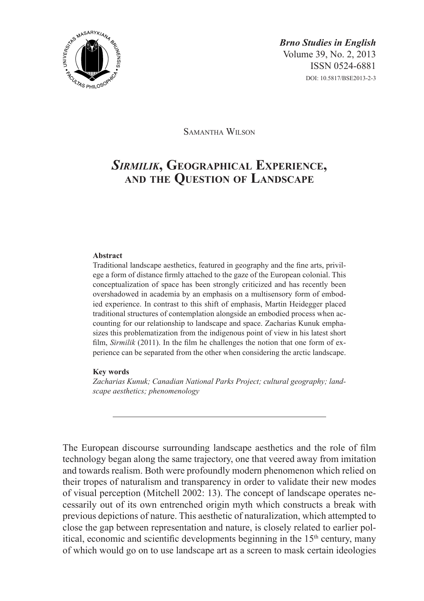

Samantha Wilson

# *Sirmilik***, Geographical Experience, and the Question of Landscape**

#### **Abstract**

Traditional landscape aesthetics, featured in geography and the fine arts, privilege a form of distance firmly attached to the gaze of the European colonial. This conceptualization of space has been strongly criticized and has recently been overshadowed in academia by an emphasis on a multisensory form of embodied experience. In contrast to this shift of emphasis, Martin Heidegger placed traditional structures of contemplation alongside an embodied process when accounting for our relationship to landscape and space. Zacharias Kunuk emphasizes this problematization from the indigenous point of view in his latest short film, *Sirmilik* (2011). In the film he challenges the notion that one form of experience can be separated from the other when considering the arctic landscape.

#### **Key words**

*Zacharias Kunuk; Canadian National Parks Project; cultural geography; landscape aesthetics; phenomenology*

The European discourse surrounding landscape aesthetics and the role of film technology began along the same trajectory, one that veered away from imitation and towards realism. Both were profoundly modern phenomenon which relied on their tropes of naturalism and transparency in order to validate their new modes of visual perception (Mitchell 2002: 13). The concept of landscape operates necessarily out of its own entrenched origin myth which constructs a break with previous depictions of nature. This aesthetic of naturalization, which attempted to close the gap between representation and nature, is closely related to earlier political, economic and scientific developments beginning in the  $15<sup>th</sup>$  century, many of which would go on to use landscape art as a screen to mask certain ideologies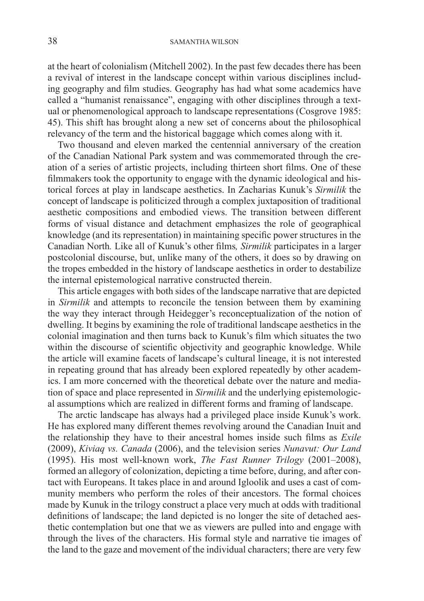at the heart of colonialism (Mitchell 2002). In the past few decades there has been a revival of interest in the landscape concept within various disciplines including geography and film studies. Geography has had what some academics have called a "humanist renaissance", engaging with other disciplines through a textual or phenomenological approach to landscape representations (Cosgrove 1985: 45). This shift has brought along a new set of concerns about the philosophical relevancy of the term and the historical baggage which comes along with it.

Two thousand and eleven marked the centennial anniversary of the creation of the Canadian National Park system and was commemorated through the creation of a series of artistic projects, including thirteen short films. One of these filmmakers took the opportunity to engage with the dynamic ideological and historical forces at play in landscape aesthetics. In Zacharias Kunuk's *Sirmilik* the concept of landscape is politicized through a complex juxtaposition of traditional aesthetic compositions and embodied views. The transition between different forms of visual distance and detachment emphasizes the role of geographical knowledge (and its representation) in maintaining specific power structures in the Canadian North*.* Like all of Kunuk's other films*, Sirmilik* participates in a larger postcolonial discourse, but, unlike many of the others, it does so by drawing on the tropes embedded in the history of landscape aesthetics in order to destabilize the internal epistemological narrative constructed therein.

This article engages with both sides of the landscape narrative that are depicted in *Sirmilik* and attempts to reconcile the tension between them by examining the way they interact through Heidegger's reconceptualization of the notion of dwelling. It begins by examining the role of traditional landscape aesthetics in the colonial imagination and then turns back to Kunuk's film which situates the two within the discourse of scientific objectivity and geographic knowledge. While the article will examine facets of landscape's cultural lineage, it is not interested in repeating ground that has already been explored repeatedly by other academics. I am more concerned with the theoretical debate over the nature and mediation of space and place represented in *Sirmilik* and the underlying epistemological assumptions which are realized in different forms and framing of landscape.

The arctic landscape has always had a privileged place inside Kunuk's work. He has explored many different themes revolving around the Canadian Inuit and the relationship they have to their ancestral homes inside such films as *Exile* (2009), *Kiviaq vs. Canada* (2006), and the television series *Nunavut: Our Land* (1995). His most well-known work, *The Fast Runner Trilogy* (2001–2008), formed an allegory of colonization, depicting a time before, during, and after contact with Europeans. It takes place in and around Igloolik and uses a cast of community members who perform the roles of their ancestors. The formal choices made by Kunuk in the trilogy construct a place very much at odds with traditional definitions of landscape; the land depicted is no longer the site of detached aesthetic contemplation but one that we as viewers are pulled into and engage with through the lives of the characters. His formal style and narrative tie images of the land to the gaze and movement of the individual characters; there are very few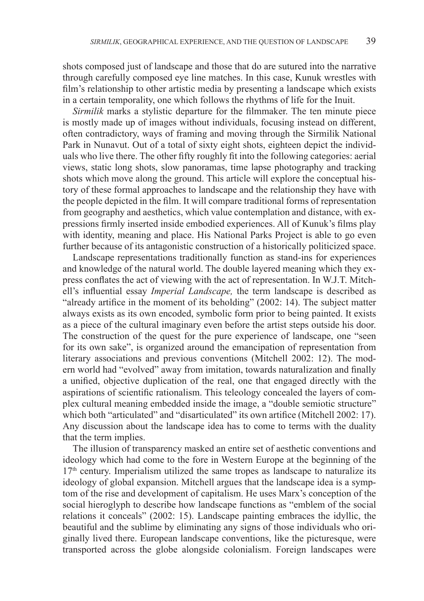shots composed just of landscape and those that do are sutured into the narrative through carefully composed eye line matches. In this case, Kunuk wrestles with film's relationship to other artistic media by presenting a landscape which exists in a certain temporality, one which follows the rhythms of life for the Inuit.

*Sirmilik* marks a stylistic departure for the filmmaker. The ten minute piece is mostly made up of images without individuals, focusing instead on different, often contradictory, ways of framing and moving through the Sirmilik National Park in Nunavut. Out of a total of sixty eight shots, eighteen depict the individuals who live there. The other fifty roughly fit into the following categories: aerial views, static long shots, slow panoramas, time lapse photography and tracking shots which move along the ground. This article will explore the conceptual history of these formal approaches to landscape and the relationship they have with the people depicted in the film. It will compare traditional forms of representation from geography and aesthetics, which value contemplation and distance, with expressions firmly inserted inside embodied experiences. All of Kunuk's films play with identity, meaning and place. His National Parks Project is able to go even further because of its antagonistic construction of a historically politicized space.

Landscape representations traditionally function as stand-ins for experiences and knowledge of the natural world. The double layered meaning which they express conflates the act of viewing with the act of representation. In W.J.T. Mitchell's influential essay *Imperial Landscape,* the term landscape is described as "already artifice in the moment of its beholding" (2002: 14). The subject matter always exists as its own encoded, symbolic form prior to being painted. It exists as a piece of the cultural imaginary even before the artist steps outside his door. The construction of the quest for the pure experience of landscape, one "seen for its own sake", is organized around the emancipation of representation from literary associations and previous conventions (Mitchell 2002: 12). The modern world had "evolved" away from imitation, towards naturalization and finally a unified, objective duplication of the real, one that engaged directly with the aspirations of scientific rationalism. This teleology concealed the layers of complex cultural meaning embedded inside the image, a "double semiotic structure" which both "articulated" and "disarticulated" its own artifice (Mitchell 2002: 17). Any discussion about the landscape idea has to come to terms with the duality that the term implies.

The illusion of transparency masked an entire set of aesthetic conventions and ideology which had come to the fore in Western Europe at the beginning of the  $17<sup>th</sup>$  century. Imperialism utilized the same tropes as landscape to naturalize its ideology of global expansion. Mitchell argues that the landscape idea is a symptom of the rise and development of capitalism. He uses Marx's conception of the social hieroglyph to describe how landscape functions as "emblem of the social relations it conceals" (2002: 15). Landscape painting embraces the idyllic, the beautiful and the sublime by eliminating any signs of those individuals who originally lived there. European landscape conventions, like the picturesque, were transported across the globe alongside colonialism. Foreign landscapes were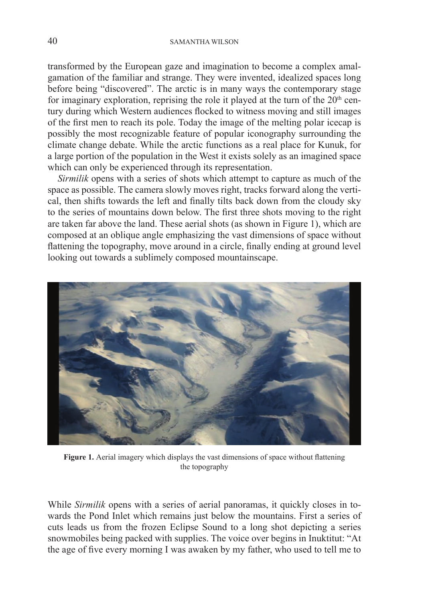transformed by the European gaze and imagination to become a complex amalgamation of the familiar and strange. They were invented, idealized spaces long before being "discovered". The arctic is in many ways the contemporary stage for imaginary exploration, reprising the role it played at the turn of the  $20<sup>th</sup>$  century during which Western audiences flocked to witness moving and still images of the first men to reach its pole. Today the image of the melting polar icecap is possibly the most recognizable feature of popular iconography surrounding the climate change debate. While the arctic functions as a real place for Kunuk, for a large portion of the population in the West it exists solely as an imagined space which can only be experienced through its representation.

*Sirmilik* opens with a series of shots which attempt to capture as much of the space as possible. The camera slowly moves right, tracks forward along the vertical, then shifts towards the left and finally tilts back down from the cloudy sky to the series of mountains down below. The first three shots moving to the right are taken far above the land. These aerial shots (as shown in Figure 1), which are composed at an oblique angle emphasizing the vast dimensions of space without flattening the topography, move around in a circle, finally ending at ground level looking out towards a sublimely composed mountainscape.



Figure 1. Aerial imagery which displays the vast dimensions of space without flattening the topography

While *Sirmilik* opens with a series of aerial panoramas, it quickly closes in towards the Pond Inlet which remains just below the mountains. First a series of cuts leads us from the frozen Eclipse Sound to a long shot depicting a series snowmobiles being packed with supplies. The voice over begins in Inuktitut: "At the age of five every morning I was awaken by my father, who used to tell me to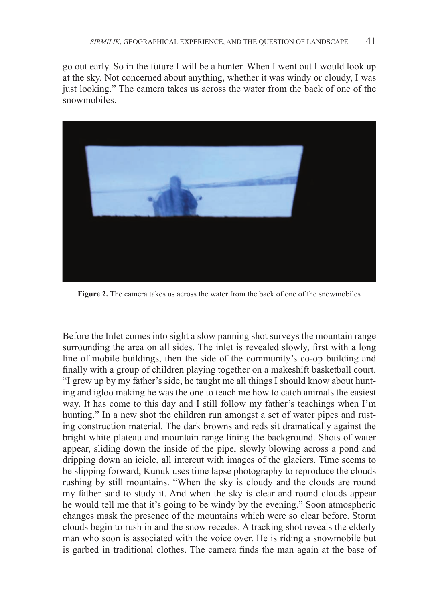go out early. So in the future I will be a hunter. When I went out I would look up at the sky. Not concerned about anything, whether it was windy or cloudy, I was just looking." The camera takes us across the water from the back of one of the snowmobiles.



**Figure 2.** The camera takes us across the water from the back of one of the snowmobiles

Before the Inlet comes into sight a slow panning shot surveys the mountain range surrounding the area on all sides. The inlet is revealed slowly, first with a long line of mobile buildings, then the side of the community's co-op building and finally with a group of children playing together on a makeshift basketball court. "I grew up by my father's side, he taught me all things I should know about hunting and igloo making he was the one to teach me how to catch animals the easiest way. It has come to this day and I still follow my father's teachings when I'm hunting." In a new shot the children run amongst a set of water pipes and rusting construction material. The dark browns and reds sit dramatically against the bright white plateau and mountain range lining the background. Shots of water appear, sliding down the inside of the pipe, slowly blowing across a pond and dripping down an icicle, all intercut with images of the glaciers. Time seems to be slipping forward, Kunuk uses time lapse photography to reproduce the clouds rushing by still mountains. "When the sky is cloudy and the clouds are round my father said to study it. And when the sky is clear and round clouds appear he would tell me that it's going to be windy by the evening." Soon atmospheric changes mask the presence of the mountains which were so clear before. Storm clouds begin to rush in and the snow recedes. A tracking shot reveals the elderly man who soon is associated with the voice over. He is riding a snowmobile but is garbed in traditional clothes. The camera finds the man again at the base of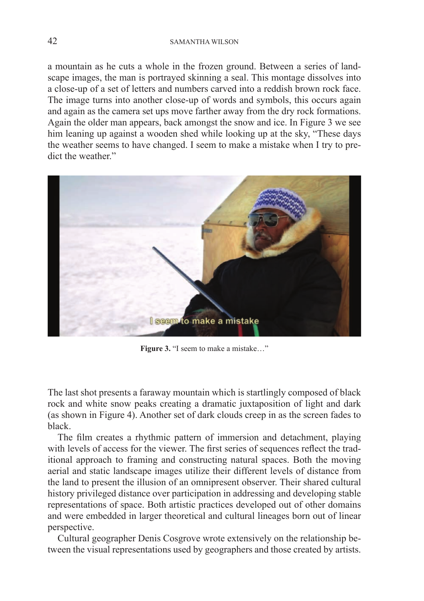a mountain as he cuts a whole in the frozen ground. Between a series of landscape images, the man is portrayed skinning a seal. This montage dissolves into a close-up of a set of letters and numbers carved into a reddish brown rock face. The image turns into another close-up of words and symbols, this occurs again and again as the camera set ups move farther away from the dry rock formations. Again the older man appears, back amongst the snow and ice. In Figure 3 we see him leaning up against a wooden shed while looking up at the sky, "These days the weather seems to have changed. I seem to make a mistake when I try to predict the weather."



**Figure 3.** "I seem to make a mistake..."

The last shot presents a faraway mountain which is startlingly composed of black rock and white snow peaks creating a dramatic juxtaposition of light and dark (as shown in Figure 4). Another set of dark clouds creep in as the screen fades to black.

The film creates a rhythmic pattern of immersion and detachment, playing with levels of access for the viewer. The first series of sequences reflect the traditional approach to framing and constructing natural spaces. Both the moving aerial and static landscape images utilize their different levels of distance from the land to present the illusion of an omnipresent observer. Their shared cultural history privileged distance over participation in addressing and developing stable representations of space. Both artistic practices developed out of other domains and were embedded in larger theoretical and cultural lineages born out of linear perspective.

Cultural geographer Denis Cosgrove wrote extensively on the relationship between the visual representations used by geographers and those created by artists.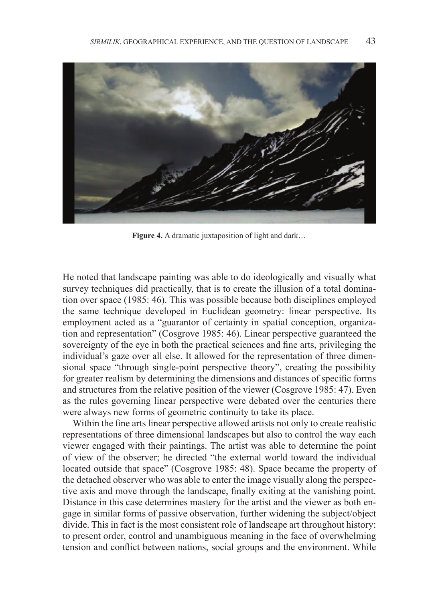

**Figure 4.** A dramatic juxtaposition of light and dark…

He noted that landscape painting was able to do ideologically and visually what survey techniques did practically, that is to create the illusion of a total domination over space (1985: 46). This was possible because both disciplines employed the same technique developed in Euclidean geometry: linear perspective. Its employment acted as a "guarantor of certainty in spatial conception, organization and representation" (Cosgrove 1985: 46). Linear perspective guaranteed the sovereignty of the eye in both the practical sciences and fine arts, privileging the individual's gaze over all else. It allowed for the representation of three dimensional space "through single-point perspective theory", creating the possibility for greater realism by determining the dimensions and distances of specific forms and structures from the relative position of the viewer (Cosgrove 1985: 47). Even as the rules governing linear perspective were debated over the centuries there were always new forms of geometric continuity to take its place.

Within the fine arts linear perspective allowed artists not only to create realistic representations of three dimensional landscapes but also to control the way each viewer engaged with their paintings. The artist was able to determine the point of view of the observer; he directed "the external world toward the individual located outside that space" (Cosgrove 1985: 48). Space became the property of the detached observer who was able to enter the image visually along the perspective axis and move through the landscape, finally exiting at the vanishing point. Distance in this case determines mastery for the artist and the viewer as both engage in similar forms of passive observation, further widening the subject/object divide. This in fact is the most consistent role of landscape art throughout history: to present order, control and unambiguous meaning in the face of overwhelming tension and conflict between nations, social groups and the environment. While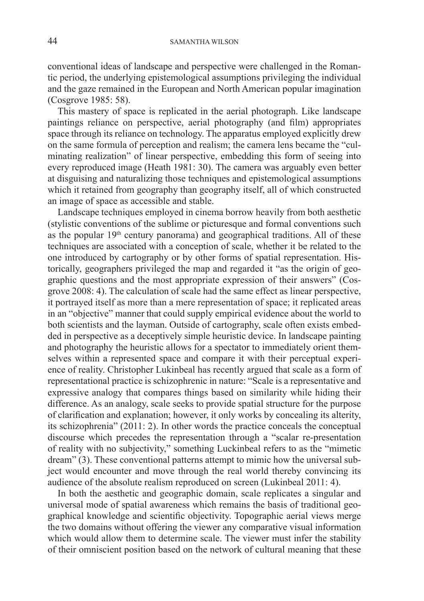conventional ideas of landscape and perspective were challenged in the Romantic period, the underlying epistemological assumptions privileging the individual and the gaze remained in the European and North American popular imagination (Cosgrove 1985: 58).

This mastery of space is replicated in the aerial photograph. Like landscape paintings reliance on perspective, aerial photography (and film) appropriates space through its reliance on technology. The apparatus employed explicitly drew on the same formula of perception and realism; the camera lens became the "culminating realization" of linear perspective, embedding this form of seeing into every reproduced image (Heath 1981: 30). The camera was arguably even better at disguising and naturalizing those techniques and epistemological assumptions which it retained from geography than geography itself, all of which constructed an image of space as accessible and stable.

Landscape techniques employed in cinema borrow heavily from both aesthetic (stylistic conventions of the sublime or picturesque and formal conventions such as the popular  $19<sup>th</sup>$  century panorama) and geographical traditions. All of these techniques are associated with a conception of scale, whether it be related to the one introduced by cartography or by other forms of spatial representation. Historically, geographers privileged the map and regarded it "as the origin of geographic questions and the most appropriate expression of their answers" (Cosgrove 2008: 4). The calculation of scale had the same effect as linear perspective, it portrayed itself as more than a mere representation of space; it replicated areas in an "objective" manner that could supply empirical evidence about the world to both scientists and the layman. Outside of cartography, scale often exists embedded in perspective as a deceptively simple heuristic device. In landscape painting and photography the heuristic allows for a spectator to immediately orient themselves within a represented space and compare it with their perceptual experience of reality. Christopher Lukinbeal has recently argued that scale as a form of representational practice is schizophrenic in nature: "Scale is a representative and expressive analogy that compares things based on similarity while hiding their difference. As an analogy, scale seeks to provide spatial structure for the purpose of clarification and explanation; however, it only works by concealing its alterity, its schizophrenia" (2011: 2). In other words the practice conceals the conceptual discourse which precedes the representation through a "scalar re-presentation of reality with no subjectivity," something Luckinbeal refers to as the "mimetic dream" (3). These conventional patterns attempt to mimic how the universal subject would encounter and move through the real world thereby convincing its audience of the absolute realism reproduced on screen (Lukinbeal 2011: 4).

In both the aesthetic and geographic domain, scale replicates a singular and universal mode of spatial awareness which remains the basis of traditional geographical knowledge and scientific objectivity. Topographic aerial views merge the two domains without offering the viewer any comparative visual information which would allow them to determine scale. The viewer must infer the stability of their omniscient position based on the network of cultural meaning that these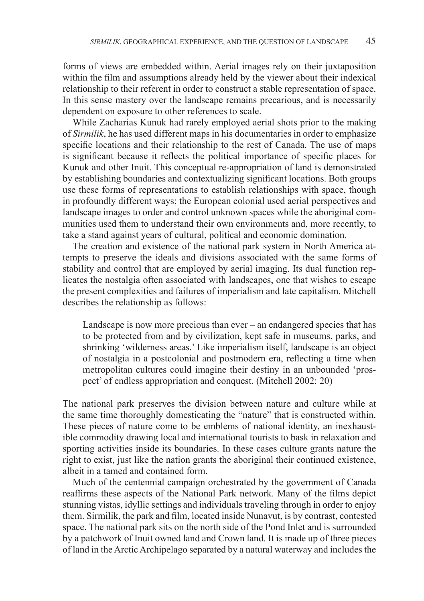forms of views are embedded within. Aerial images rely on their juxtaposition within the film and assumptions already held by the viewer about their indexical relationship to their referent in order to construct a stable representation of space. In this sense mastery over the landscape remains precarious, and is necessarily dependent on exposure to other references to scale.

While Zacharias Kunuk had rarely employed aerial shots prior to the making of *Sirmilik*, he has used different maps in his documentaries in order to emphasize specific locations and their relationship to the rest of Canada. The use of maps is significant because it reflects the political importance of specific places for Kunuk and other Inuit. This conceptual re-appropriation of land is demonstrated by establishing boundaries and contextualizing significant locations. Both groups use these forms of representations to establish relationships with space, though in profoundly different ways; the European colonial used aerial perspectives and landscape images to order and control unknown spaces while the aboriginal communities used them to understand their own environments and, more recently, to take a stand against years of cultural, political and economic domination.

The creation and existence of the national park system in North America attempts to preserve the ideals and divisions associated with the same forms of stability and control that are employed by aerial imaging. Its dual function replicates the nostalgia often associated with landscapes, one that wishes to escape the present complexities and failures of imperialism and late capitalism. Mitchell describes the relationship as follows:

Landscape is now more precious than ever – an endangered species that has to be protected from and by civilization, kept safe in museums, parks, and shrinking 'wilderness areas.' Like imperialism itself, landscape is an object of nostalgia in a postcolonial and postmodern era, reflecting a time when metropolitan cultures could imagine their destiny in an unbounded 'prospect' of endless appropriation and conquest. (Mitchell 2002: 20)

The national park preserves the division between nature and culture while at the same time thoroughly domesticating the "nature" that is constructed within. These pieces of nature come to be emblems of national identity, an inexhaustible commodity drawing local and international tourists to bask in relaxation and sporting activities inside its boundaries. In these cases culture grants nature the right to exist, just like the nation grants the aboriginal their continued existence, albeit in a tamed and contained form.

Much of the centennial campaign orchestrated by the government of Canada reaffirms these aspects of the National Park network. Many of the films depict stunning vistas, idyllic settings and individuals traveling through in order to enjoy them. Sirmilik, the park and film, located inside Nunavut, is by contrast, contested space. The national park sits on the north side of the Pond Inlet and is surrounded by a patchwork of Inuit owned land and Crown land. It is made up of three pieces of land in the Arctic Archipelago separated by a natural waterway and includes the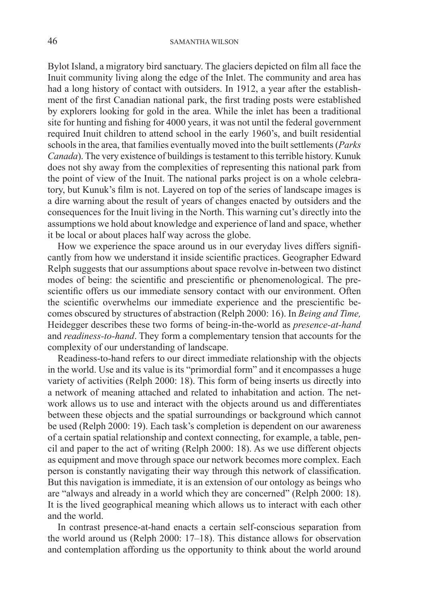Bylot Island, a migratory bird sanctuary. The glaciers depicted on film all face the Inuit community living along the edge of the Inlet. The community and area has had a long history of contact with outsiders. In 1912, a year after the establishment of the first Canadian national park, the first trading posts were established by explorers looking for gold in the area. While the inlet has been a traditional site for hunting and fishing for 4000 years, it was not until the federal government required Inuit children to attend school in the early 1960's, and built residential schools in the area, that families eventually moved into the built settlements (*Parks Canada*). The very existence of buildings is testament to this terrible history. Kunuk does not shy away from the complexities of representing this national park from the point of view of the Inuit. The national parks project is on a whole celebratory, but Kunuk's film is not. Layered on top of the series of landscape images is a dire warning about the result of years of changes enacted by outsiders and the consequences for the Inuit living in the North. This warning cut's directly into the assumptions we hold about knowledge and experience of land and space, whether it be local or about places half way across the globe.

How we experience the space around us in our everyday lives differs significantly from how we understand it inside scientific practices. Geographer Edward Relph suggests that our assumptions about space revolve in-between two distinct modes of being: the scientific and prescientific or phenomenological. The prescientific offers us our immediate sensory contact with our environment. Often the scientific overwhelms our immediate experience and the prescientific becomes obscured by structures of abstraction (Relph 2000: 16). In *Being and Time,* Heidegger describes these two forms of being-in-the-world as *presence-at-hand* and *readiness-to-hand*. They form a complementary tension that accounts for the complexity of our understanding of landscape.

Readiness-to-hand refers to our direct immediate relationship with the objects in the world. Use and its value is its "primordial form" and it encompasses a huge variety of activities (Relph 2000: 18). This form of being inserts us directly into a network of meaning attached and related to inhabitation and action. The network allows us to use and interact with the objects around us and differentiates between these objects and the spatial surroundings or background which cannot be used (Relph 2000: 19). Each task's completion is dependent on our awareness of a certain spatial relationship and context connecting, for example, a table, pencil and paper to the act of writing (Relph 2000: 18). As we use different objects as equipment and move through space our network becomes more complex. Each person is constantly navigating their way through this network of classification. But this navigation is immediate, it is an extension of our ontology as beings who are "always and already in a world which they are concerned" (Relph 2000: 18). It is the lived geographical meaning which allows us to interact with each other and the world.

In contrast presence-at-hand enacts a certain self-conscious separation from the world around us (Relph 2000: 17–18). This distance allows for observation and contemplation affording us the opportunity to think about the world around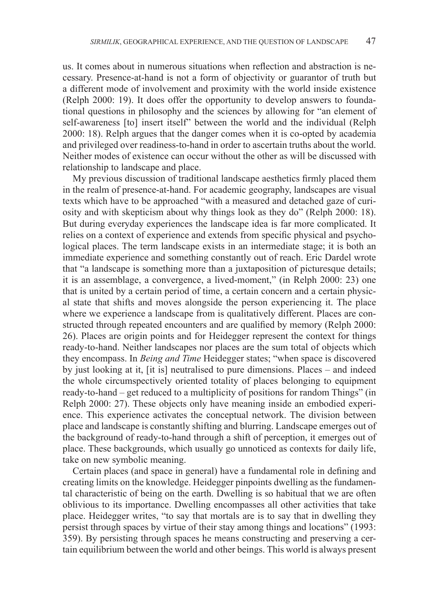us. It comes about in numerous situations when reflection and abstraction is necessary. Presence-at-hand is not a form of objectivity or guarantor of truth but a different mode of involvement and proximity with the world inside existence (Relph 2000: 19). It does offer the opportunity to develop answers to foundational questions in philosophy and the sciences by allowing for "an element of self-awareness [to] insert itself" between the world and the individual (Relph 2000: 18). Relph argues that the danger comes when it is co-opted by academia and privileged over readiness-to-hand in order to ascertain truths about the world. Neither modes of existence can occur without the other as will be discussed with relationship to landscape and place.

My previous discussion of traditional landscape aesthetics firmly placed them in the realm of presence-at-hand. For academic geography, landscapes are visual texts which have to be approached "with a measured and detached gaze of curiosity and with skepticism about why things look as they do" (Relph 2000: 18). But during everyday experiences the landscape idea is far more complicated. It relies on a context of experience and extends from specific physical and psychological places. The term landscape exists in an intermediate stage; it is both an immediate experience and something constantly out of reach. Eric Dardel wrote that "a landscape is something more than a juxtaposition of picturesque details; it is an assemblage, a convergence, a lived-moment," (in Relph 2000: 23) one that is united by a certain period of time, a certain concern and a certain physical state that shifts and moves alongside the person experiencing it. The place where we experience a landscape from is qualitatively different. Places are constructed through repeated encounters and are qualified by memory (Relph 2000: 26). Places are origin points and for Heidegger represent the context for things ready-to-hand. Neither landscapes nor places are the sum total of objects which they encompass. In *Being and Time* Heidegger states; "when space is discovered by just looking at it, [it is] neutralised to pure dimensions. Places – and indeed the whole circumspectively oriented totality of places belonging to equipment ready-to-hand – get reduced to a multiplicity of positions for random Things" (in Relph 2000: 27). These objects only have meaning inside an embodied experience. This experience activates the conceptual network. The division between place and landscape is constantly shifting and blurring. Landscape emerges out of the background of ready-to-hand through a shift of perception, it emerges out of place. These backgrounds, which usually go unnoticed as contexts for daily life, take on new symbolic meaning.

Certain places (and space in general) have a fundamental role in defining and creating limits on the knowledge. Heidegger pinpoints dwelling as the fundamental characteristic of being on the earth. Dwelling is so habitual that we are often oblivious to its importance. Dwelling encompasses all other activities that take place. Heidegger writes, "to say that mortals are is to say that in dwelling they persist through spaces by virtue of their stay among things and locations" (1993: 359). By persisting through spaces he means constructing and preserving a certain equilibrium between the world and other beings. This world is always present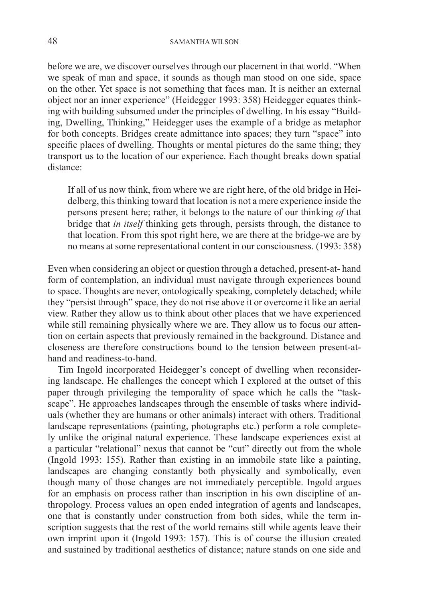before we are, we discover ourselves through our placement in that world. "When we speak of man and space, it sounds as though man stood on one side, space on the other. Yet space is not something that faces man. It is neither an external object nor an inner experience" (Heidegger 1993: 358) Heidegger equates thinking with building subsumed under the principles of dwelling. In his essay "Building, Dwelling, Thinking," Heidegger uses the example of a bridge as metaphor for both concepts. Bridges create admittance into spaces; they turn "space" into specific places of dwelling. Thoughts or mental pictures do the same thing; they transport us to the location of our experience. Each thought breaks down spatial distance:

If all of us now think, from where we are right here, of the old bridge in Heidelberg, this thinking toward that location is not a mere experience inside the persons present here; rather, it belongs to the nature of our thinking *of* that bridge that *in itself* thinking gets through, persists through, the distance to that location. From this spot right here, we are there at the bridge-we are by no means at some representational content in our consciousness. (1993: 358)

Even when considering an object or question through a detached, present-at- hand form of contemplation, an individual must navigate through experiences bound to space. Thoughts are never, ontologically speaking, completely detached; while they "persist through" space, they do not rise above it or overcome it like an aerial view. Rather they allow us to think about other places that we have experienced while still remaining physically where we are. They allow us to focus our attention on certain aspects that previously remained in the background. Distance and closeness are therefore constructions bound to the tension between present-athand and readiness-to-hand.

Tim Ingold incorporated Heidegger's concept of dwelling when reconsidering landscape. He challenges the concept which I explored at the outset of this paper through privileging the temporality of space which he calls the "taskscape". He approaches landscapes through the ensemble of tasks where individuals (whether they are humans or other animals) interact with others. Traditional landscape representations (painting, photographs etc.) perform a role completely unlike the original natural experience. These landscape experiences exist at a particular "relational" nexus that cannot be "cut" directly out from the whole (Ingold 1993: 155). Rather than existing in an immobile state like a painting, landscapes are changing constantly both physically and symbolically, even though many of those changes are not immediately perceptible. Ingold argues for an emphasis on process rather than inscription in his own discipline of anthropology. Process values an open ended integration of agents and landscapes, one that is constantly under construction from both sides, while the term inscription suggests that the rest of the world remains still while agents leave their own imprint upon it (Ingold 1993: 157). This is of course the illusion created and sustained by traditional aesthetics of distance; nature stands on one side and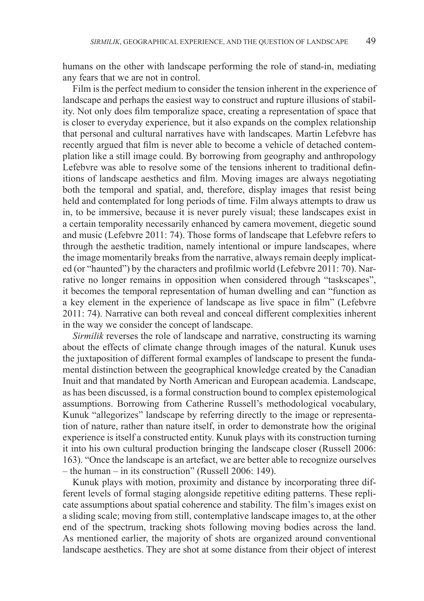humans on the other with landscape performing the role of stand-in, mediating any fears that we are not in control.

Film is the perfect medium to consider the tension inherent in the experience of landscape and perhaps the easiest way to construct and rupture illusions of stability. Not only does film temporalize space, creating a representation of space that is closer to everyday experience, but it also expands on the complex relationship that personal and cultural narratives have with landscapes. Martin Lefebvre has recently argued that film is never able to become a vehicle of detached contemplation like a still image could. By borrowing from geography and anthropology Lefebvre was able to resolve some of the tensions inherent to traditional definitions of landscape aesthetics and film. Moving images are always negotiating both the temporal and spatial, and, therefore, display images that resist being held and contemplated for long periods of time. Film always attempts to draw us in, to be immersive, because it is never purely visual; these landscapes exist in a certain temporality necessarily enhanced by camera movement, diegetic sound and music (Lefebvre 2011: 74). Those forms of landscape that Lefebvre refers to through the aesthetic tradition, namely intentional or impure landscapes, where the image momentarily breaks from the narrative, always remain deeply implicated (or "haunted") by the characters and profilmic world (Lefebvre 2011: 70). Narrative no longer remains in opposition when considered through "taskscapes", it becomes the temporal representation of human dwelling and can "function as a key element in the experience of landscape as live space in film" (Lefebvre 2011: 74). Narrative can both reveal and conceal different complexities inherent in the way we consider the concept of landscape.

*Sirmilik* reverses the role of landscape and narrative, constructing its warning about the effects of climate change through images of the natural. Kunuk uses the juxtaposition of different formal examples of landscape to present the fundamental distinction between the geographical knowledge created by the Canadian Inuit and that mandated by North American and European academia. Landscape, as has been discussed, is a formal construction bound to complex epistemological assumptions. Borrowing from Catherine Russell's methodological vocabulary, Kunuk "allegorizes" landscape by referring directly to the image or representation of nature, rather than nature itself, in order to demonstrate how the original experience is itself a constructed entity. Kunuk plays with its construction turning it into his own cultural production bringing the landscape closer (Russell 2006: 163). "Once the landscape is an artefact, we are better able to recognize ourselves – the human – in its construction" (Russell 2006: 149).

Kunuk plays with motion, proximity and distance by incorporating three different levels of formal staging alongside repetitive editing patterns. These replicate assumptions about spatial coherence and stability. The film's images exist on a sliding scale; moving from still, contemplative landscape images to, at the other end of the spectrum, tracking shots following moving bodies across the land. As mentioned earlier, the majority of shots are organized around conventional landscape aesthetics. They are shot at some distance from their object of interest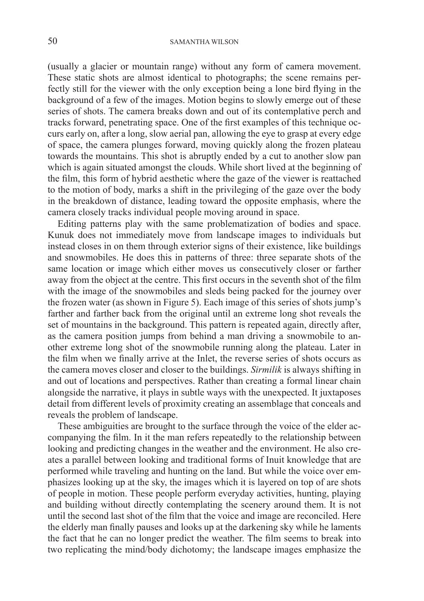(usually a glacier or mountain range) without any form of camera movement. These static shots are almost identical to photographs; the scene remains perfectly still for the viewer with the only exception being a lone bird flying in the background of a few of the images. Motion begins to slowly emerge out of these series of shots. The camera breaks down and out of its contemplative perch and tracks forward, penetrating space. One of the first examples of this technique occurs early on, after a long, slow aerial pan, allowing the eye to grasp at every edge of space, the camera plunges forward, moving quickly along the frozen plateau towards the mountains. This shot is abruptly ended by a cut to another slow pan which is again situated amongst the clouds. While short lived at the beginning of the film, this form of hybrid aesthetic where the gaze of the viewer is reattached to the motion of body, marks a shift in the privileging of the gaze over the body in the breakdown of distance, leading toward the opposite emphasis, where the camera closely tracks individual people moving around in space.

Editing patterns play with the same problematization of bodies and space. Kunuk does not immediately move from landscape images to individuals but instead closes in on them through exterior signs of their existence, like buildings and snowmobiles. He does this in patterns of three: three separate shots of the same location or image which either moves us consecutively closer or farther away from the object at the centre. This first occurs in the seventh shot of the film with the image of the snowmobiles and sleds being packed for the journey over the frozen water (as shown in Figure 5). Each image of this series of shots jump's farther and farther back from the original until an extreme long shot reveals the set of mountains in the background. This pattern is repeated again, directly after, as the camera position jumps from behind a man driving a snowmobile to another extreme long shot of the snowmobile running along the plateau. Later in the film when we finally arrive at the Inlet, the reverse series of shots occurs as the camera moves closer and closer to the buildings. *Sirmilik* is always shifting in and out of locations and perspectives. Rather than creating a formal linear chain alongside the narrative, it plays in subtle ways with the unexpected. It juxtaposes detail from different levels of proximity creating an assemblage that conceals and reveals the problem of landscape.

These ambiguities are brought to the surface through the voice of the elder accompanying the film. In it the man refers repeatedly to the relationship between looking and predicting changes in the weather and the environment. He also creates a parallel between looking and traditional forms of Inuit knowledge that are performed while traveling and hunting on the land. But while the voice over emphasizes looking up at the sky, the images which it is layered on top of are shots of people in motion. These people perform everyday activities, hunting, playing and building without directly contemplating the scenery around them. It is not until the second last shot of the film that the voice and image are reconciled. Here the elderly man finally pauses and looks up at the darkening sky while he laments the fact that he can no longer predict the weather. The film seems to break into two replicating the mind/body dichotomy; the landscape images emphasize the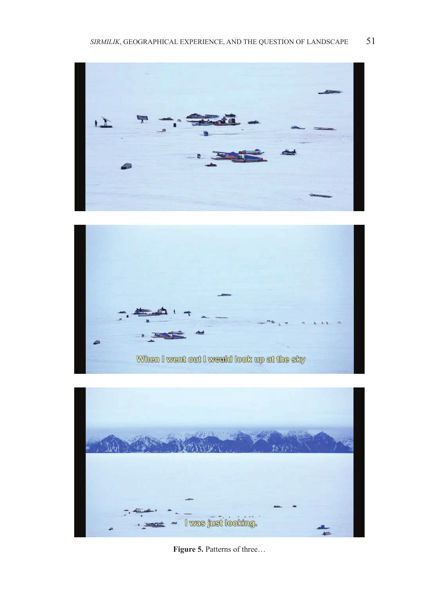





Figure 5. Patterns of three...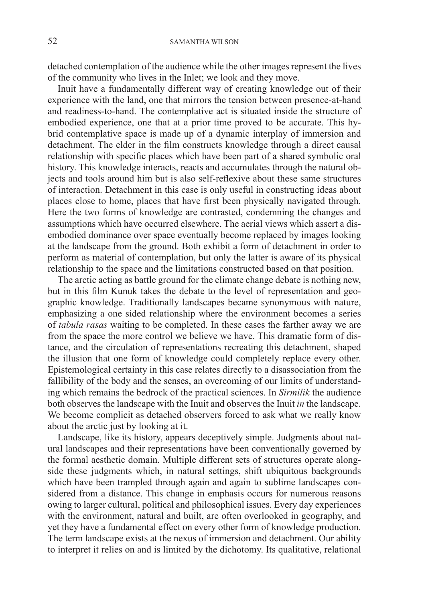detached contemplation of the audience while the other images represent the lives of the community who lives in the Inlet; we look and they move.

Inuit have a fundamentally different way of creating knowledge out of their experience with the land, one that mirrors the tension between presence-at-hand and readiness-to-hand. The contemplative act is situated inside the structure of embodied experience, one that at a prior time proved to be accurate. This hybrid contemplative space is made up of a dynamic interplay of immersion and detachment. The elder in the film constructs knowledge through a direct causal relationship with specific places which have been part of a shared symbolic oral history. This knowledge interacts, reacts and accumulates through the natural objects and tools around him but is also self-reflexive about these same structures of interaction. Detachment in this case is only useful in constructing ideas about places close to home, places that have first been physically navigated through. Here the two forms of knowledge are contrasted, condemning the changes and assumptions which have occurred elsewhere. The aerial views which assert a disembodied dominance over space eventually become replaced by images looking at the landscape from the ground. Both exhibit a form of detachment in order to perform as material of contemplation, but only the latter is aware of its physical relationship to the space and the limitations constructed based on that position.

The arctic acting as battle ground for the climate change debate is nothing new, but in this film Kunuk takes the debate to the level of representation and geographic knowledge. Traditionally landscapes became synonymous with nature, emphasizing a one sided relationship where the environment becomes a series of *tabula rasas* waiting to be completed. In these cases the farther away we are from the space the more control we believe we have. This dramatic form of distance, and the circulation of representations recreating this detachment, shaped the illusion that one form of knowledge could completely replace every other. Epistemological certainty in this case relates directly to a disassociation from the fallibility of the body and the senses, an overcoming of our limits of understanding which remains the bedrock of the practical sciences. In *Sirmilik* the audience both observes the landscape with the Inuit and observes the Inuit *in* the landscape. We become complicit as detached observers forced to ask what we really know about the arctic just by looking at it.

Landscape, like its history, appears deceptively simple. Judgments about natural landscapes and their representations have been conventionally governed by the formal aesthetic domain. Multiple different sets of structures operate alongside these judgments which, in natural settings, shift ubiquitous backgrounds which have been trampled through again and again to sublime landscapes considered from a distance. This change in emphasis occurs for numerous reasons owing to larger cultural, political and philosophical issues. Every day experiences with the environment, natural and built, are often overlooked in geography, and yet they have a fundamental effect on every other form of knowledge production. The term landscape exists at the nexus of immersion and detachment. Our ability to interpret it relies on and is limited by the dichotomy. Its qualitative, relational